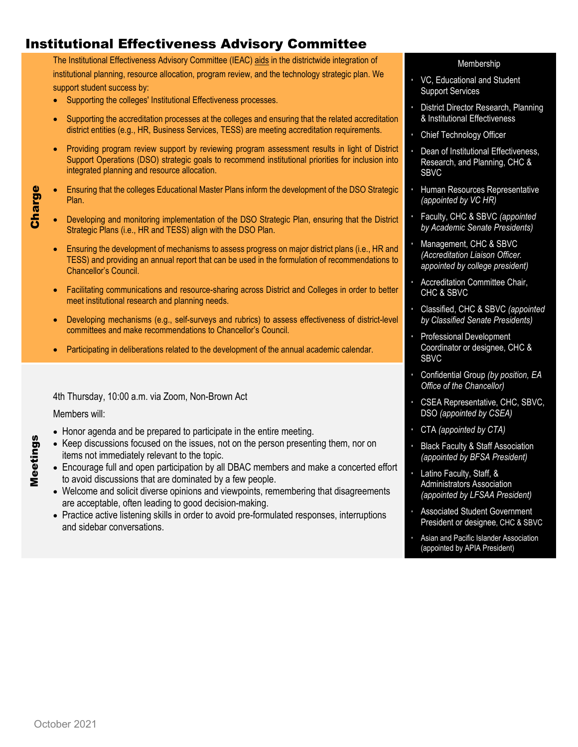## Institutional Effectiveness Advisory Committee

The Institutional Effectiveness Advisory Committee (IEAC) aids in the districtwide integration of institutional planning, resource allocation, program review, and the technology strategic plan. We support student success by:

- Supporting the colleges' Institutional Effectiveness processes.
- Supporting the accreditation processes at the colleges and ensuring that the related accreditation district entities (e.g., HR, Business Services, TESS) are meeting accreditation requirements.
- Providing program review support by reviewing program assessment results in light of District Support Operations (DSO) strategic goals to recommend institutional priorities for inclusion into integrated planning and resource allocation.
- Ensuring that the colleges Educational Master Plans inform the development of the DSO Strategic Plan.
- Developing and monitoring implementation of the DSO Strategic Plan, ensuring that the District Strategic Plans (i.e., HR and TESS) align with the DSO Plan.
	- Ensuring the development of mechanisms to assess progress on major district plans (i.e., HR and TESS) and providing an annual report that can be used in the formulation of recommendations to Chancellor's Council.
	- Facilitating communications and resource-sharing across District and Colleges in order to better meet institutional research and planning needs.
	- Developing mechanisms (e.g., self-surveys and rubrics) to assess effectiveness of district-level committees and make recommendations to Chancellor's Council.
	- Participating in deliberations related to the development of the annual academic calendar.

4th Thursday, 10:00 a.m. via Zoom, Non-Brown Act

Members will:

Charge

Meetings

Meetings

- Honor agenda and be prepared to participate in the entire meeting.
- Keep discussions focused on the issues, not on the person presenting them, nor on items not immediately relevant to the topic.
- Encourage full and open participation by all DBAC members and make a concerted effort to avoid discussions that are dominated by a few people.
- Welcome and solicit diverse opinions and viewpoints, remembering that disagreements are acceptable, often leading to good decision-making.
- Practice active listening skills in order to avoid pre-formulated responses, interruptions and sidebar conversations.

## Membership

- VC, Educational and Student Support Services
- District Director Research, Planning & Institutional Effectiveness
- Chief Technology Officer
- Dean of Institutional Effectiveness, Research, and Planning, CHC & SBVC
- Human Resources Representative *(appointed by VC HR)*
- Faculty, CHC & SBVC *(appointed by Academic Senate Presidents)*
- Management, CHC & SBVC *(Accreditation Liaison Officer. appointed by college president)*
- Accreditation Committee Chair, CHC & SBVC
- Classified, CHC & SBVC *(appointed by Classified Senate Presidents)*
- Professional Development Coordinator or designee, CHC & SBVC
- Confidential Group *(by position, EA Office of the Chancellor)*
- CSEA Representative, CHC, SBVC, DSO *(appointed by CSEA)*
- CTA *(appointed by CTA)*
- Black Faculty & Staff Association *(appointed by BFSA President)*
- Latino Faculty, Staff, & Administrators Association *(appointed by LFSAA President)*
- Associated Student Government President or designee, CHC & SBVC
- Asian and Pacific Islander Association (appointed by APIA President)